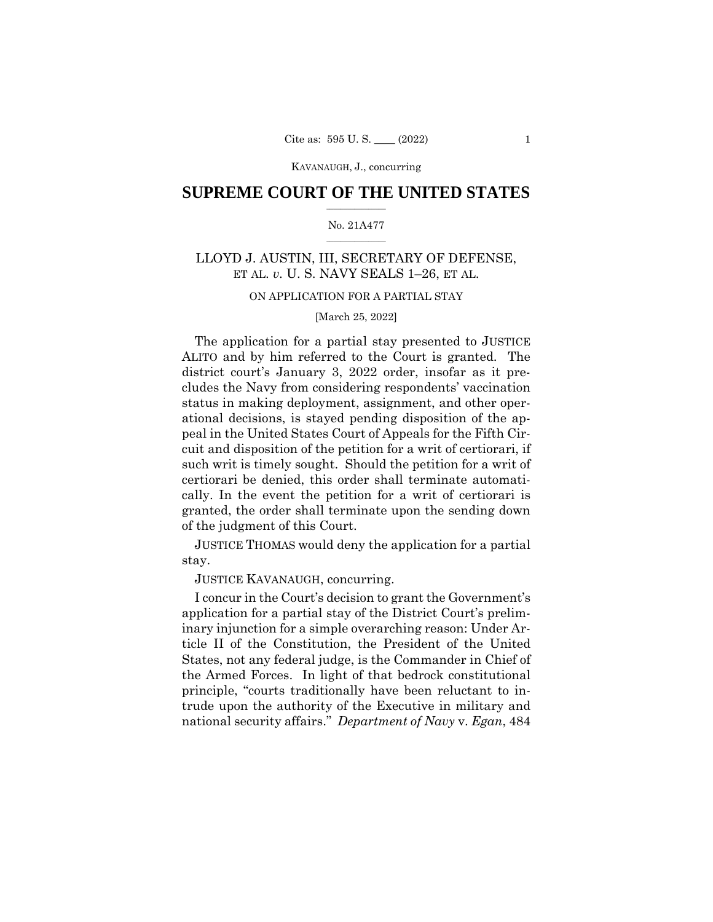KAVANAUGH, J., concurring

# $\frac{1}{2}$  ,  $\frac{1}{2}$  ,  $\frac{1}{2}$  ,  $\frac{1}{2}$  ,  $\frac{1}{2}$  ,  $\frac{1}{2}$  ,  $\frac{1}{2}$ **SUPREME COURT OF THE UNITED STATES**

### $\frac{1}{2}$  ,  $\frac{1}{2}$  ,  $\frac{1}{2}$  ,  $\frac{1}{2}$  ,  $\frac{1}{2}$  ,  $\frac{1}{2}$ No. 21A477

# LLOYD J. AUSTIN, III, SECRETARY OF DEFENSE, ET AL. *v.* U. S. NAVY SEALS 1–26, ET AL.

# ON APPLICATION FOR A PARTIAL STAY

# [March 25, 2022]

The application for a partial stay presented to JUSTICE ALITO and by him referred to the Court is granted. The district court's January 3, 2022 order, insofar as it precludes the Navy from considering respondents' vaccination status in making deployment, assignment, and other operational decisions, is stayed pending disposition of the appeal in the United States Court of Appeals for the Fifth Circuit and disposition of the petition for a writ of certiorari, if such writ is timely sought. Should the petition for a writ of certiorari be denied, this order shall terminate automatically. In the event the petition for a writ of certiorari is granted, the order shall terminate upon the sending down of the judgment of this Court.

 JUSTICE THOMAS would deny the application for a partial stay.

JUSTICE KAVANAUGH, concurring.

I concur in the Court's decision to grant the Government's application for a partial stay of the District Court's preliminary injunction for a simple overarching reason: Under Article II of the Constitution, the President of the United States, not any federal judge, is the Commander in Chief of the Armed Forces. In light of that bedrock constitutional principle, "courts traditionally have been reluctant to intrude upon the authority of the Executive in military and national security affairs." *Department of Navy* v. *Egan*, 484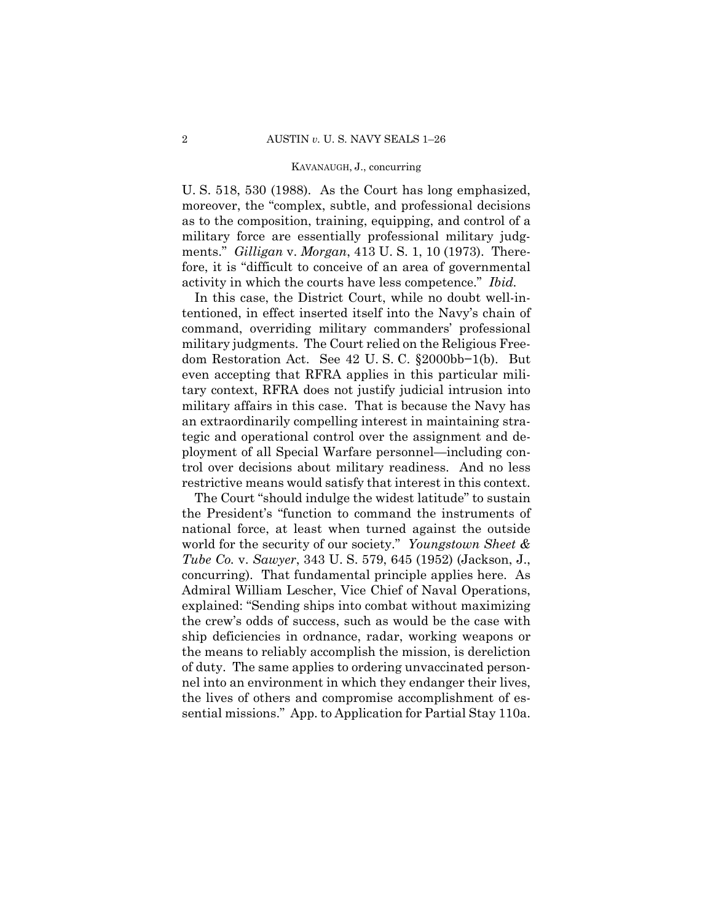### KAVANAUGH, J., concurring

U. S. 518, 530 (1988). As the Court has long emphasized, moreover, the "complex, subtle, and professional decisions as to the composition, training, equipping, and control of a military force are essentially professional military judgments." *Gilligan* v. *Morgan*, 413 U. S. 1, 10 (1973). Therefore, it is "difficult to conceive of an area of governmental activity in which the courts have less competence." *Ibid.* 

In this case, the District Court, while no doubt well-intentioned, in effect inserted itself into the Navy's chain of command, overriding military commanders' professional military judgments. The Court relied on the Religious Freedom Restoration Act. See 42 U. S. C. §2000bb−1(b). But even accepting that RFRA applies in this particular military context, RFRA does not justify judicial intrusion into military affairs in this case. That is because the Navy has an extraordinarily compelling interest in maintaining strategic and operational control over the assignment and deployment of all Special Warfare personnel—including control over decisions about military readiness. And no less restrictive means would satisfy that interest in this context.

The Court "should indulge the widest latitude" to sustain the President's "function to command the instruments of national force, at least when turned against the outside world for the security of our society." *Youngstown Sheet & Tube Co.* v. *Sawyer*, 343 U. S. 579, 645 (1952) (Jackson, J., concurring). That fundamental principle applies here. As Admiral William Lescher, Vice Chief of Naval Operations, explained: "Sending ships into combat without maximizing the crew's odds of success, such as would be the case with ship deficiencies in ordnance, radar, working weapons or the means to reliably accomplish the mission, is dereliction of duty. The same applies to ordering unvaccinated personnel into an environment in which they endanger their lives, the lives of others and compromise accomplishment of essential missions." App. to Application for Partial Stay 110a.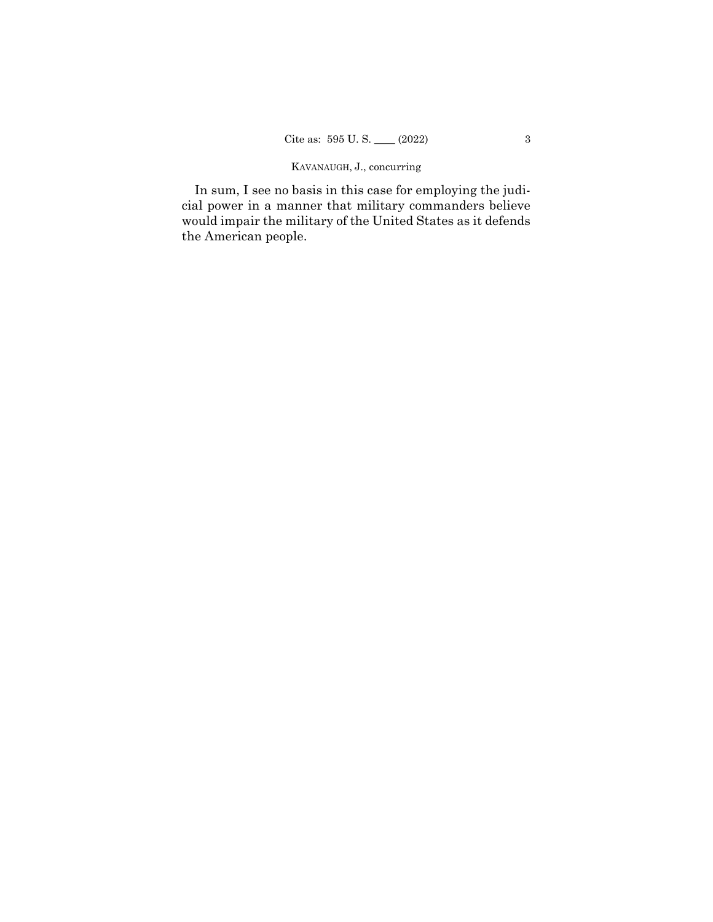# KAVANAUGH, J., concurring

In sum, I see no basis in this case for employing the judicial power in a manner that military commanders believe would impair the military of the United States as it defends the American people.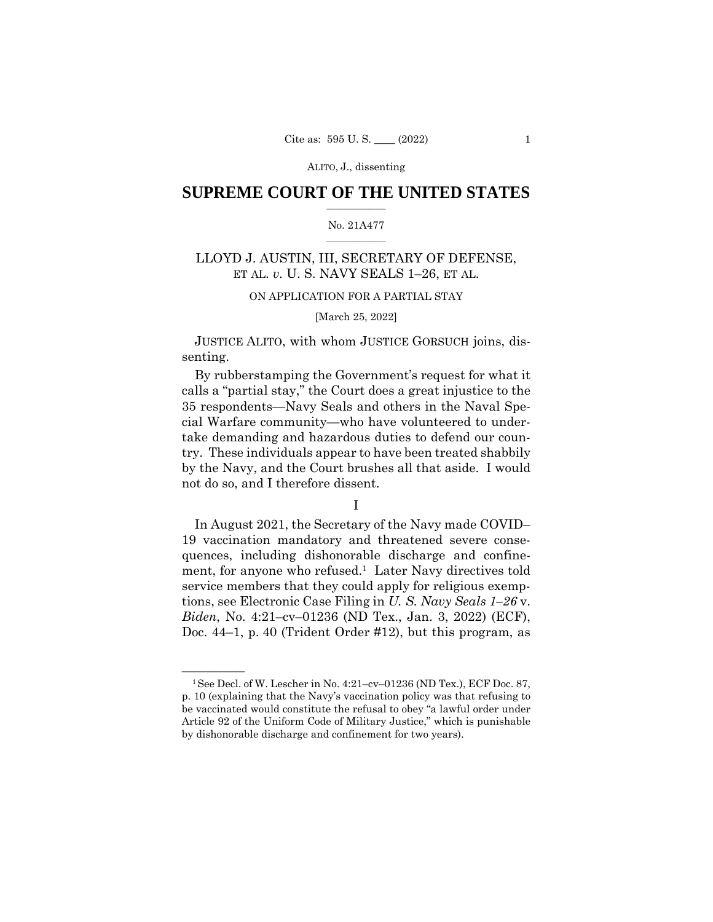# $\frac{1}{2}$  ,  $\frac{1}{2}$  ,  $\frac{1}{2}$  ,  $\frac{1}{2}$  ,  $\frac{1}{2}$  ,  $\frac{1}{2}$  ,  $\frac{1}{2}$ **SUPREME COURT OF THE UNITED STATES**

### $\frac{1}{2}$  ,  $\frac{1}{2}$  ,  $\frac{1}{2}$  ,  $\frac{1}{2}$  ,  $\frac{1}{2}$  ,  $\frac{1}{2}$ No. 21A477

# LLOYD J. AUSTIN, III, SECRETARY OF DEFENSE, ET AL. *v.* U. S. NAVY SEALS 1–26, ET AL.

# ON APPLICATION FOR A PARTIAL STAY

# [March 25, 2022]

 JUSTICE ALITO, with whom JUSTICE GORSUCH joins, dissenting.

By rubberstamping the Government's request for what it calls a "partial stay," the Court does a great injustice to the 35 respondents—Navy Seals and others in the Naval Special Warfare community—who have volunteered to undertake demanding and hazardous duties to defend our country. These individuals appear to have been treated shabbily by the Navy, and the Court brushes all that aside. I would not do so, and I therefore dissent.

In August 2021, the Secretary of the Navy made COVID– 19 vaccination mandatory and threatened severe consequences, including dishonorable discharge and confinement, for anyone who refused.<sup>1</sup> Later Navy directives told service members that they could apply for religious exemptions, see Electronic Case Filing in *U. S. Navy Seals 1–26* v. *Biden*, No. 4:21–cv–01236 (ND Tex., Jan. 3, 2022) (ECF), Doc. 44–1, p. 40 (Trident Order #12), but this program, as

I

<sup>&</sup>lt;sup>1</sup> See Decl. of W. Lescher in No. 4:21-cv-01236 (ND Tex.), ECF Doc. 87, p. 10 (explaining that the Navy's vaccination policy was that refusing to be vaccinated would constitute the refusal to obey "a lawful order under Article 92 of the Uniform Code of Military Justice," which is punishable by dishonorable discharge and confinement for two years).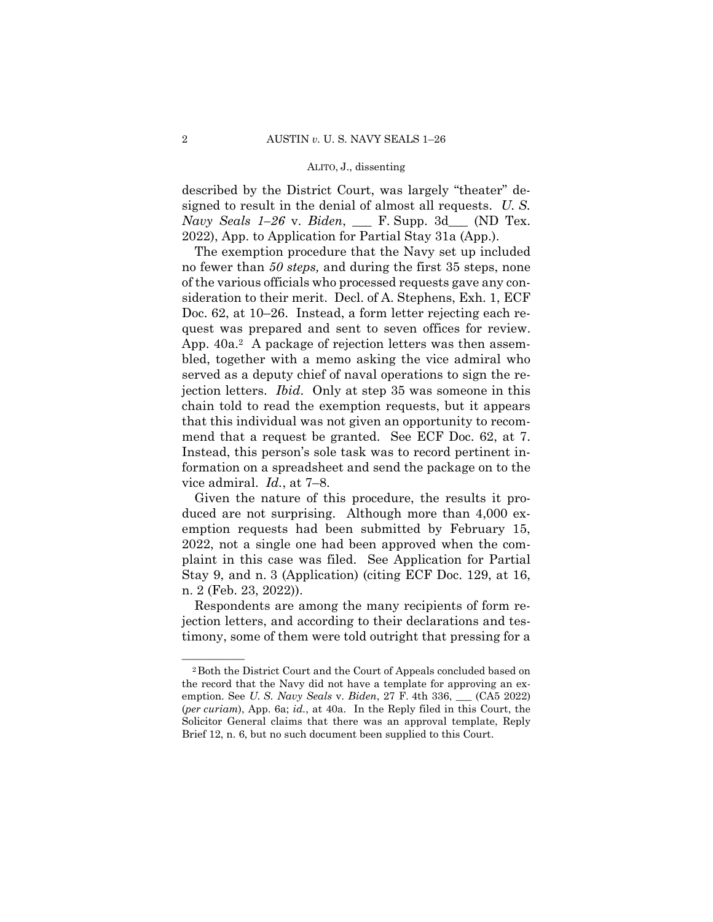described by the District Court, was largely "theater" designed to result in the denial of almost all requests. *U. S. Navy Seals 1–26* v. *Biden*, \_\_\_ F. Supp. 3d\_\_\_ (ND Tex. 2022), App. to Application for Partial Stay 31a (App.).

App. 40a.<sup>2</sup> A package of rejection letters was then assem-The exemption procedure that the Navy set up included no fewer than *50 steps,* and during the first 35 steps, none of the various officials who processed requests gave any consideration to their merit. Decl. of A. Stephens, Exh. 1, ECF Doc. 62, at 10–26. Instead, a form letter rejecting each request was prepared and sent to seven offices for review. bled, together with a memo asking the vice admiral who served as a deputy chief of naval operations to sign the rejection letters. *Ibid*. Only at step 35 was someone in this chain told to read the exemption requests, but it appears that this individual was not given an opportunity to recommend that a request be granted. See ECF Doc. 62, at 7. Instead, this person's sole task was to record pertinent information on a spreadsheet and send the package on to the vice admiral. *Id.*, at 7–8.

Given the nature of this procedure, the results it produced are not surprising. Although more than 4,000 exemption requests had been submitted by February 15, 2022, not a single one had been approved when the complaint in this case was filed. See Application for Partial Stay 9, and n. 3 (Application) (citing ECF Doc. 129, at 16, n. 2 (Feb. 23, 2022)).

Respondents are among the many recipients of form rejection letters, and according to their declarations and testimony, some of them were told outright that pressing for a

<sup>&</sup>lt;sup>2</sup> Both the District Court and the Court of Appeals concluded based on the record that the Navy did not have a template for approving an exemption. See *U. S. Navy Seals* v. *Biden*, 27 F. 4th 336, \_\_\_ (CA5 2022) (*per curiam*), App. 6a; *id.*, at 40a. In the Reply filed in this Court, the Solicitor General claims that there was an approval template, Reply Brief 12, n. 6, but no such document been supplied to this Court.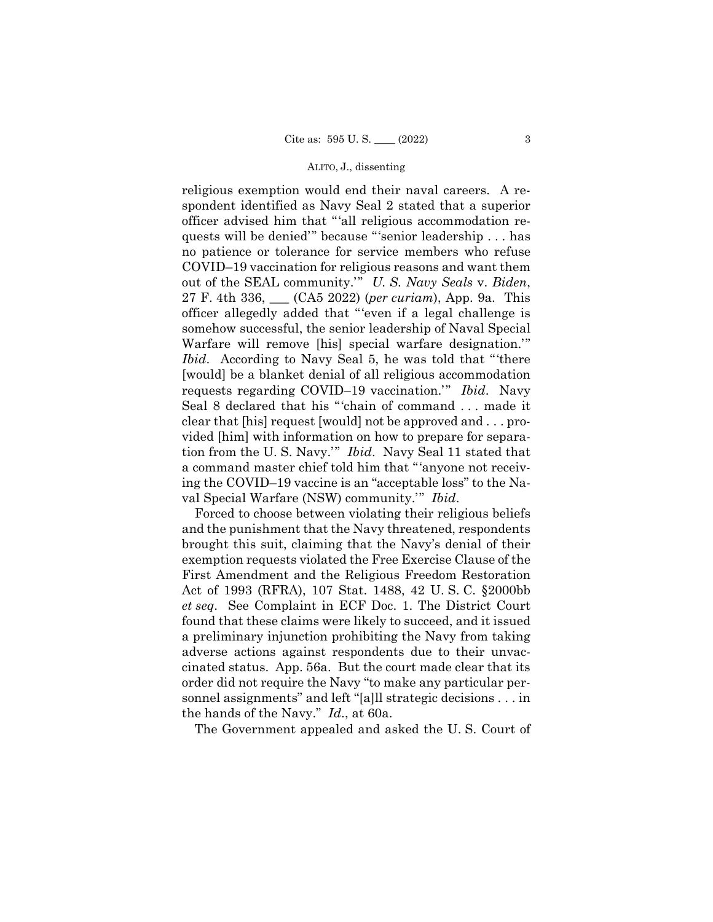religious exemption would end their naval careers. A respondent identified as Navy Seal 2 stated that a superior officer advised him that "'all religious accommodation requests will be denied'" because "'senior leadership . . . has no patience or tolerance for service members who refuse COVID–19 vaccination for religious reasons and want them out of the SEAL community.'" *U. S. Navy Seals* v. *Biden*, 27 F. 4th 336, \_\_\_ (CA5 2022) (*per curiam*), App. 9a. This officer allegedly added that "'even if a legal challenge is somehow successful, the senior leadership of Naval Special Warfare will remove [his] special warfare designation.'" *Ibid*. According to Navy Seal 5, he was told that "'there [would] be a blanket denial of all religious accommodation requests regarding COVID–19 vaccination.'" *Ibid*. Navy Seal 8 declared that his "'chain of command . . . made it clear that [his] request [would] not be approved and . . . provided [him] with information on how to prepare for separation from the U. S. Navy.'" *Ibid*. Navy Seal 11 stated that a command master chief told him that "'anyone not receiving the COVID–19 vaccine is an "acceptable loss" to the Naval Special Warfare (NSW) community.'" *Ibid*.

Forced to choose between violating their religious beliefs and the punishment that the Navy threatened, respondents brought this suit, claiming that the Navy's denial of their exemption requests violated the Free Exercise Clause of the First Amendment and the Religious Freedom Restoration Act of 1993 (RFRA), 107 Stat. 1488, 42 U. S. C. §2000bb *et seq*. See Complaint in ECF Doc. 1. The District Court found that these claims were likely to succeed, and it issued a preliminary injunction prohibiting the Navy from taking adverse actions against respondents due to their unvaccinated status. App. 56a. But the court made clear that its order did not require the Navy "to make any particular personnel assignments" and left "[a]ll strategic decisions . . . in the hands of the Navy." *Id*., at 60a.

The Government appealed and asked the U. S. Court of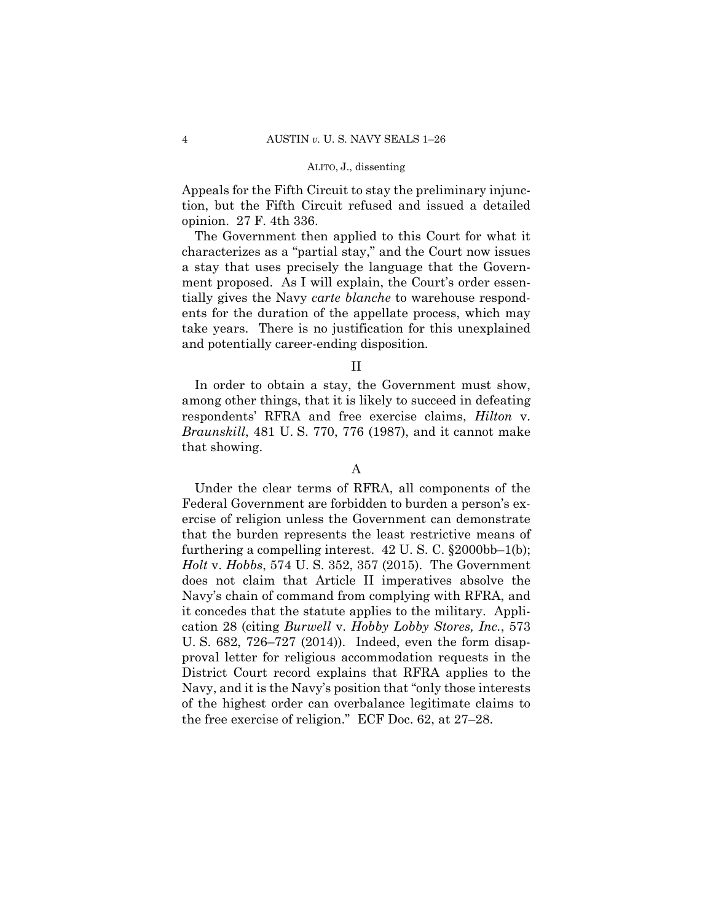Appeals for the Fifth Circuit to stay the preliminary injunction, but the Fifth Circuit refused and issued a detailed opinion. 27 F. 4th 336.

The Government then applied to this Court for what it characterizes as a "partial stay," and the Court now issues a stay that uses precisely the language that the Government proposed. As I will explain, the Court's order essentially gives the Navy *carte blanche* to warehouse respondents for the duration of the appellate process, which may take years. There is no justification for this unexplained and potentially career-ending disposition.

### II

In order to obtain a stay, the Government must show, among other things, that it is likely to succeed in defeating respondents' RFRA and free exercise claims, *Hilton* v. *Braunskill*, 481 U. S. 770, 776 (1987), and it cannot make that showing.

# A

Under the clear terms of RFRA, all components of the Federal Government are forbidden to burden a person's exercise of religion unless the Government can demonstrate that the burden represents the least restrictive means of furthering a compelling interest.  $42 \text{ U}$ . S. C.  $\S 2000 \text{ bb} - 1 \text{ (b)}$ ; *Holt* v. *Hobbs*, 574 U. S. 352, 357 (2015). The Government does not claim that Article II imperatives absolve the Navy's chain of command from complying with RFRA, and it concedes that the statute applies to the military. Application 28 (citing *Burwell* v. *Hobby Lobby Stores, Inc.*, 573 U. S. 682, 726–727 (2014)). Indeed, even the form disapproval letter for religious accommodation requests in the District Court record explains that RFRA applies to the Navy, and it is the Navy's position that "only those interests of the highest order can overbalance legitimate claims to the free exercise of religion." ECF Doc. 62, at 27–28.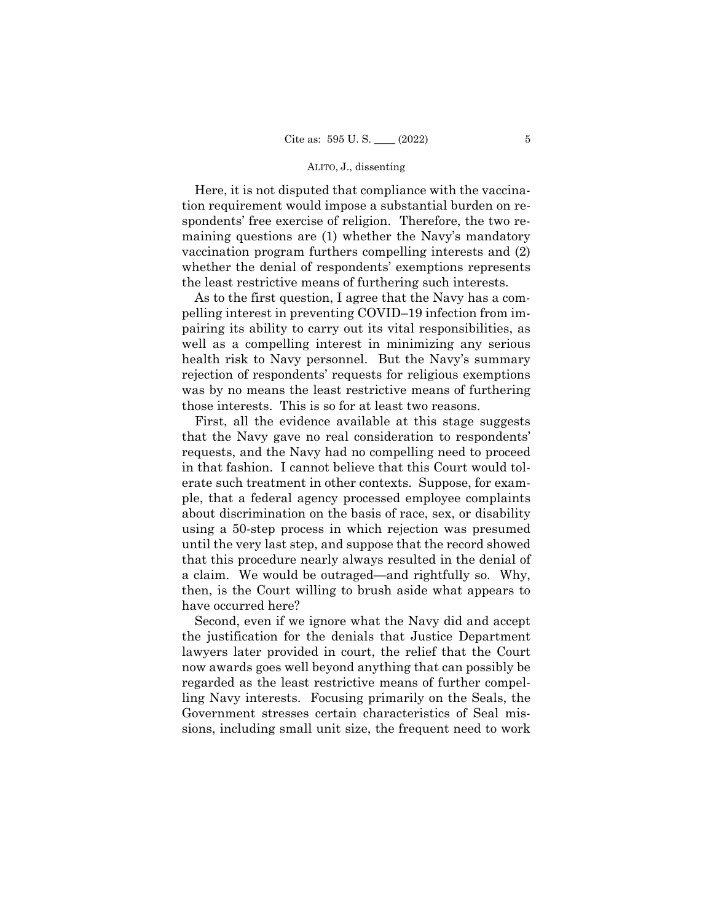Here, it is not disputed that compliance with the vaccination requirement would impose a substantial burden on respondents' free exercise of religion. Therefore, the two remaining questions are (1) whether the Navy's mandatory vaccination program furthers compelling interests and (2) whether the denial of respondents' exemptions represents the least restrictive means of furthering such interests.

As to the first question, I agree that the Navy has a compelling interest in preventing COVID–19 infection from impairing its ability to carry out its vital responsibilities, as well as a compelling interest in minimizing any serious health risk to Navy personnel. But the Navy's summary rejection of respondents' requests for religious exemptions was by no means the least restrictive means of furthering those interests. This is so for at least two reasons.

First, all the evidence available at this stage suggests that the Navy gave no real consideration to respondents' requests, and the Navy had no compelling need to proceed in that fashion. I cannot believe that this Court would tolerate such treatment in other contexts. Suppose, for example, that a federal agency processed employee complaints about discrimination on the basis of race, sex, or disability using a 50-step process in which rejection was presumed until the very last step, and suppose that the record showed that this procedure nearly always resulted in the denial of a claim. We would be outraged—and rightfully so. Why, then, is the Court willing to brush aside what appears to have occurred here?

Second, even if we ignore what the Navy did and accept the justification for the denials that Justice Department lawyers later provided in court, the relief that the Court now awards goes well beyond anything that can possibly be regarded as the least restrictive means of further compelling Navy interests. Focusing primarily on the Seals, the Government stresses certain characteristics of Seal missions, including small unit size, the frequent need to work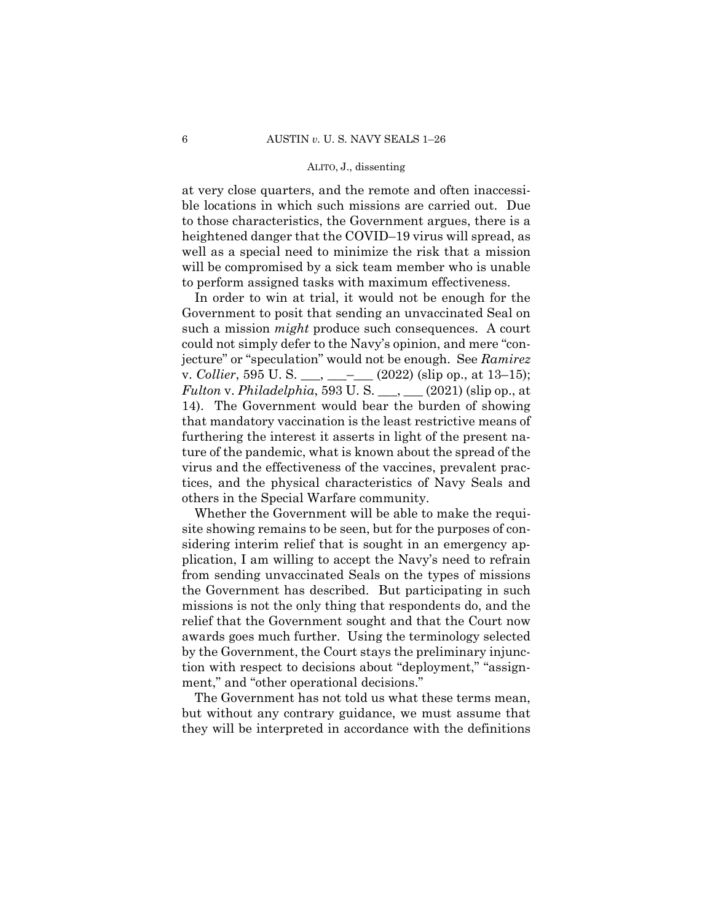at very close quarters, and the remote and often inaccessible locations in which such missions are carried out. Due to those characteristics, the Government argues, there is a heightened danger that the COVID–19 virus will spread, as well as a special need to minimize the risk that a mission will be compromised by a sick team member who is unable to perform assigned tasks with maximum effectiveness.

In order to win at trial, it would not be enough for the Government to posit that sending an unvaccinated Seal on such a mission *might* produce such consequences. A court could not simply defer to the Navy's opinion, and mere "conjecture" or "speculation" would not be enough. See *Ramirez*  v. *Collier*, 595 U. S. \_\_\_, \_\_\_–\_\_\_ (2022) (slip op., at 13–15); *Fulton* v. *Philadelphia*, 593 U. S. \_\_\_, \_\_\_ (2021) (slip op., at 14). The Government would bear the burden of showing that mandatory vaccination is the least restrictive means of furthering the interest it asserts in light of the present nature of the pandemic, what is known about the spread of the virus and the effectiveness of the vaccines, prevalent practices, and the physical characteristics of Navy Seals and others in the Special Warfare community.

Whether the Government will be able to make the requisite showing remains to be seen, but for the purposes of considering interim relief that is sought in an emergency application, I am willing to accept the Navy's need to refrain from sending unvaccinated Seals on the types of missions the Government has described. But participating in such missions is not the only thing that respondents do, and the relief that the Government sought and that the Court now awards goes much further. Using the terminology selected by the Government, the Court stays the preliminary injunction with respect to decisions about "deployment," "assignment," and "other operational decisions."

The Government has not told us what these terms mean, but without any contrary guidance, we must assume that they will be interpreted in accordance with the definitions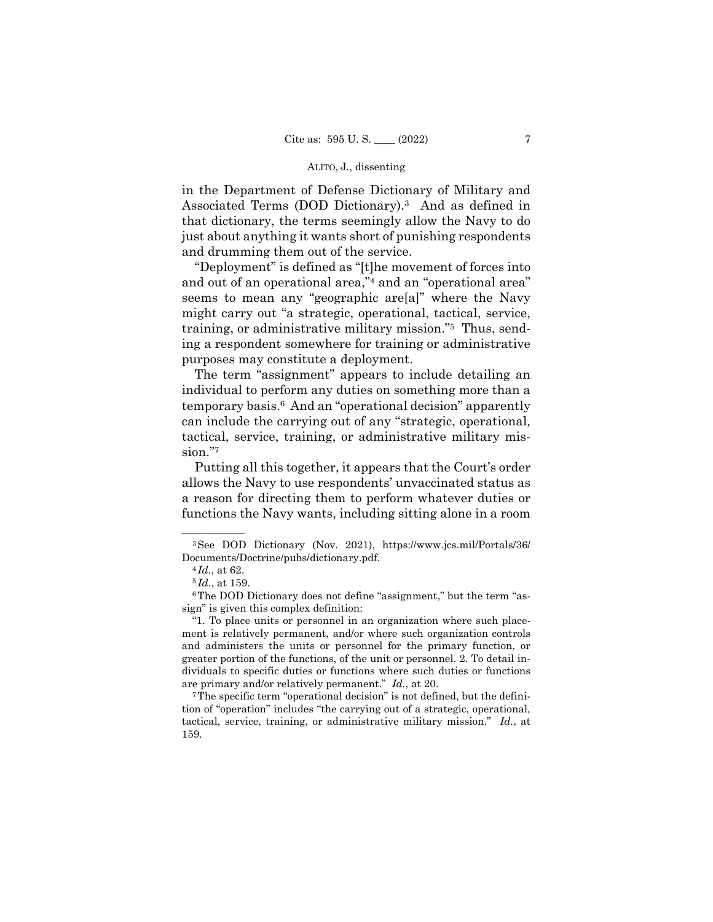in the Department of Defense Dictionary of Military and Associated Terms (DOD Dictionary).3 And as defined in that dictionary, the terms seemingly allow the Navy to do just about anything it wants short of punishing respondents and drumming them out of the service.

 training, or administrative military mission."5 Thus, send-"Deployment" is defined as "[t]he movement of forces into and out of an operational area,"4 and an "operational area" seems to mean any "geographic are[a]" where the Navy might carry out "a strategic, operational, tactical, service, ing a respondent somewhere for training or administrative purposes may constitute a deployment.

The term "assignment" appears to include detailing an individual to perform any duties on something more than a temporary basis.6 And an "operational decision" apparently can include the carrying out of any "strategic, operational, tactical, service, training, or administrative military mission."7

Putting all this together, it appears that the Court's order allows the Navy to use respondents' unvaccinated status as a reason for directing them to perform whatever duties or functions the Navy wants, including sitting alone in a room

<sup>&</sup>lt;sup>3</sup>See DOD Dictionary (Nov. 2021), <https://www.jcs.mil/Portals/36>/ Documents/Doctrine/pubs/dictionary.pdf.

<sup>&</sup>lt;sup>4</sup>*Id.*, at 62.<br><sup>5</sup>*Id.*, at 159.<br><sup>6</sup>The DOD Dictionary does not define "assignment," but the term "assign" is given this complex definition:

are primary and/or relatively permanent."  $Id.$ , at 20. "1. To place units or personnel in an organization where such placement is relatively permanent, and/or where such organization controls and administers the units or personnel for the primary function, or greater portion of the functions, of the unit or personnel. 2. To detail individuals to specific duties or functions where such duties or functions

<sup>&</sup>lt;sup>7</sup>The specific term "operational decision" is not defined, but the definition of "operation" includes "the carrying out of a strategic, operational, tactical, service, training, or administrative military mission." *Id.*, at 159.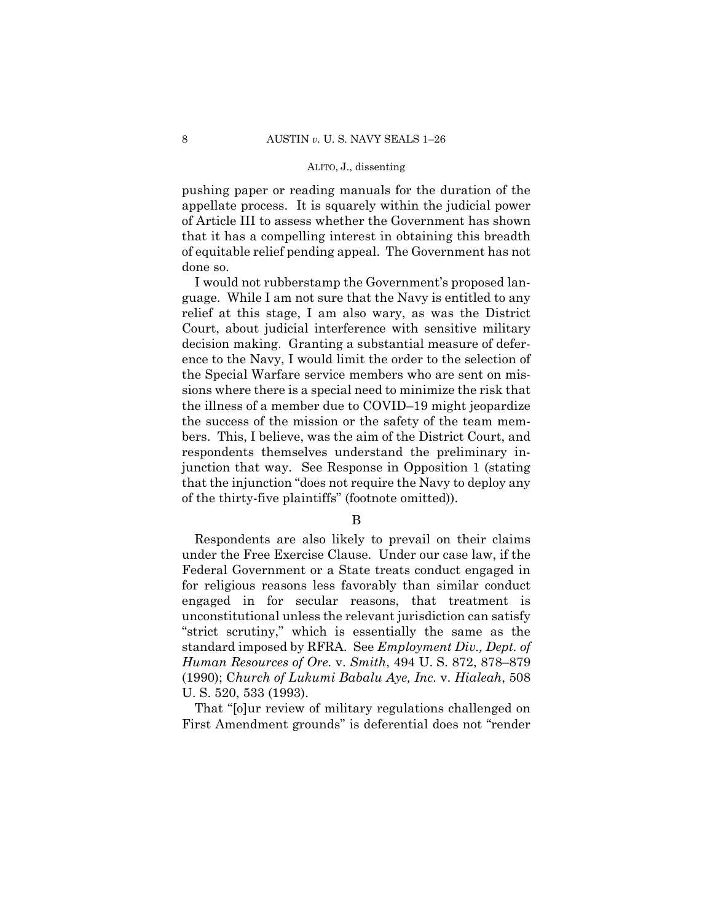pushing paper or reading manuals for the duration of the appellate process. It is squarely within the judicial power of Article III to assess whether the Government has shown that it has a compelling interest in obtaining this breadth of equitable relief pending appeal. The Government has not done so.

I would not rubberstamp the Government's proposed language. While I am not sure that the Navy is entitled to any relief at this stage, I am also wary, as was the District Court, about judicial interference with sensitive military decision making. Granting a substantial measure of deference to the Navy, I would limit the order to the selection of the Special Warfare service members who are sent on missions where there is a special need to minimize the risk that the illness of a member due to COVID–19 might jeopardize the success of the mission or the safety of the team members. This, I believe, was the aim of the District Court, and respondents themselves understand the preliminary injunction that way. See Response in Opposition 1 (stating that the injunction "does not require the Navy to deploy any of the thirty-five plaintiffs" (footnote omitted)).

B

Respondents are also likely to prevail on their claims under the Free Exercise Clause. Under our case law, if the Federal Government or a State treats conduct engaged in for religious reasons less favorably than similar conduct engaged in for secular reasons, that treatment is unconstitutional unless the relevant jurisdiction can satisfy "strict scrutiny," which is essentially the same as the standard imposed by RFRA. See *Employment Div., Dept. of Human Resources of Ore.* v. *Smith*, 494 U. S. 872, 878–879 (1990); C*hurch of Lukumi Babalu Aye, Inc.* v. *Hialeah*, 508 U. S. 520, 533 (1993).

That "[o]ur review of military regulations challenged on First Amendment grounds" is deferential does not "render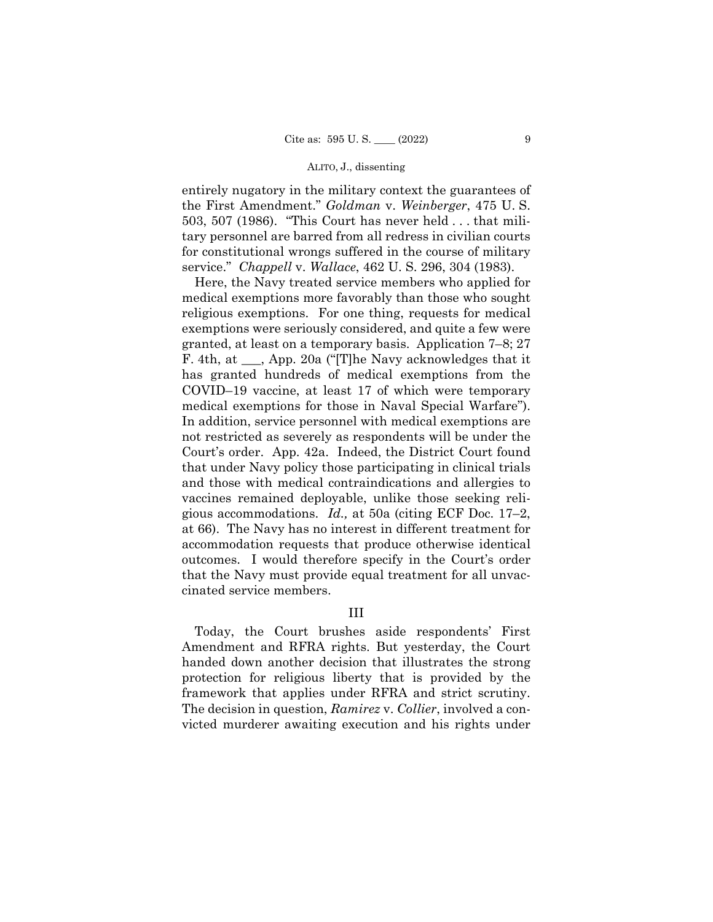entirely nugatory in the military context the guarantees of the First Amendment." *Goldman* v. *Weinberger*, 475 U. S. 503, 507 (1986). "This Court has never held . . . that military personnel are barred from all redress in civilian courts for constitutional wrongs suffered in the course of military service." *Chappell* v. *Wallace*, 462 U. S. 296, 304 (1983).

Here, the Navy treated service members who applied for medical exemptions more favorably than those who sought religious exemptions. For one thing, requests for medical exemptions were seriously considered, and quite a few were granted, at least on a temporary basis. Application 7–8; 27 F. 4th, at \_\_\_, App. 20a ("[T]he Navy acknowledges that it has granted hundreds of medical exemptions from the COVID–19 vaccine, at least 17 of which were temporary medical exemptions for those in Naval Special Warfare"). In addition, service personnel with medical exemptions are not restricted as severely as respondents will be under the Court's order. App. 42a. Indeed, the District Court found that under Navy policy those participating in clinical trials and those with medical contraindications and allergies to vaccines remained deployable, unlike those seeking religious accommodations. *Id.,* at 50a (citing ECF Doc. 17–2, at 66). The Navy has no interest in different treatment for accommodation requests that produce otherwise identical outcomes. I would therefore specify in the Court's order that the Navy must provide equal treatment for all unvaccinated service members.

# III

Today, the Court brushes aside respondents' First Amendment and RFRA rights. But yesterday, the Court handed down another decision that illustrates the strong protection for religious liberty that is provided by the framework that applies under RFRA and strict scrutiny. The decision in question, *Ramirez* v. *Collier*, involved a convicted murderer awaiting execution and his rights under